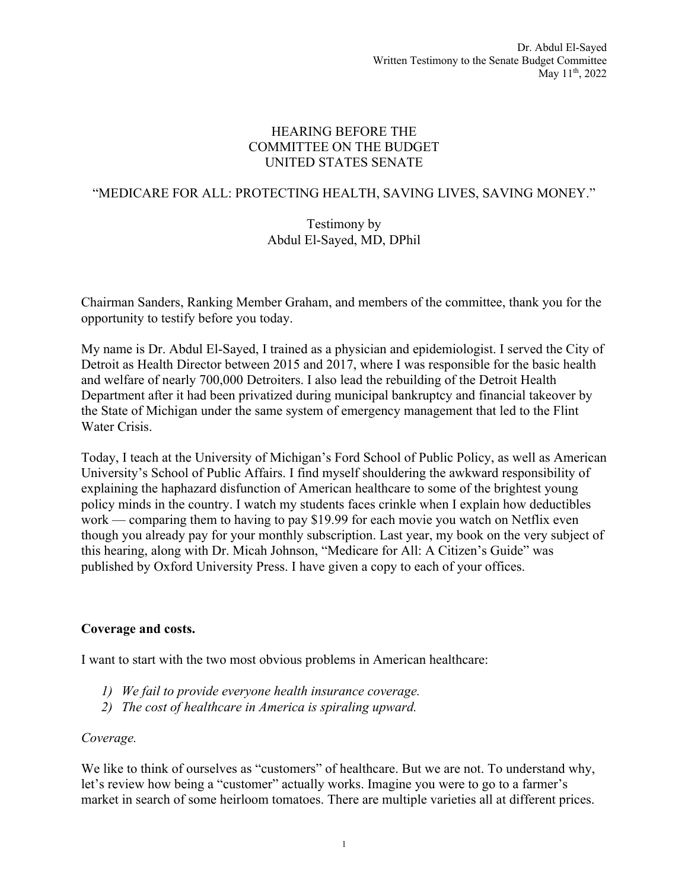### HEARING BEFORE THE COMMITTEE ON THE BUDGET UNITED STATES SENATE

# "MEDICARE FOR ALL: PROTECTING HEALTH, SAVING LIVES, SAVING MONEY."

### Testimony by Abdul El-Sayed, MD, DPhil

Chairman Sanders, Ranking Member Graham, and members of the committee, thank you for the opportunity to testify before you today.

My name is Dr. Abdul El-Sayed, I trained as a physician and epidemiologist. I served the City of Detroit as Health Director between 2015 and 2017, where I was responsible for the basic health and welfare of nearly 700,000 Detroiters. I also lead the rebuilding of the Detroit Health Department after it had been privatized during municipal bankruptcy and financial takeover by the State of Michigan under the same system of emergency management that led to the Flint Water Crisis.

Today, I teach at the University of Michigan's Ford School of Public Policy, as well as American University's School of Public Affairs. I find myself shouldering the awkward responsibility of explaining the haphazard disfunction of American healthcare to some of the brightest young policy minds in the country. I watch my students faces crinkle when I explain how deductibles work — comparing them to having to pay \$19.99 for each movie you watch on Netflix even though you already pay for your monthly subscription. Last year, my book on the very subject of this hearing, along with Dr. Micah Johnson, "Medicare for All: A Citizen's Guide" was published by Oxford University Press. I have given a copy to each of your offices.

## **Coverage and costs.**

I want to start with the two most obvious problems in American healthcare:

- *1) We fail to provide everyone health insurance coverage.*
- *2) The cost of healthcare in America is spiraling upward.*

#### *Coverage.*

We like to think of ourselves as "customers" of healthcare. But we are not. To understand why, let's review how being a "customer" actually works. Imagine you were to go to a farmer's market in search of some heirloom tomatoes. There are multiple varieties all at different prices.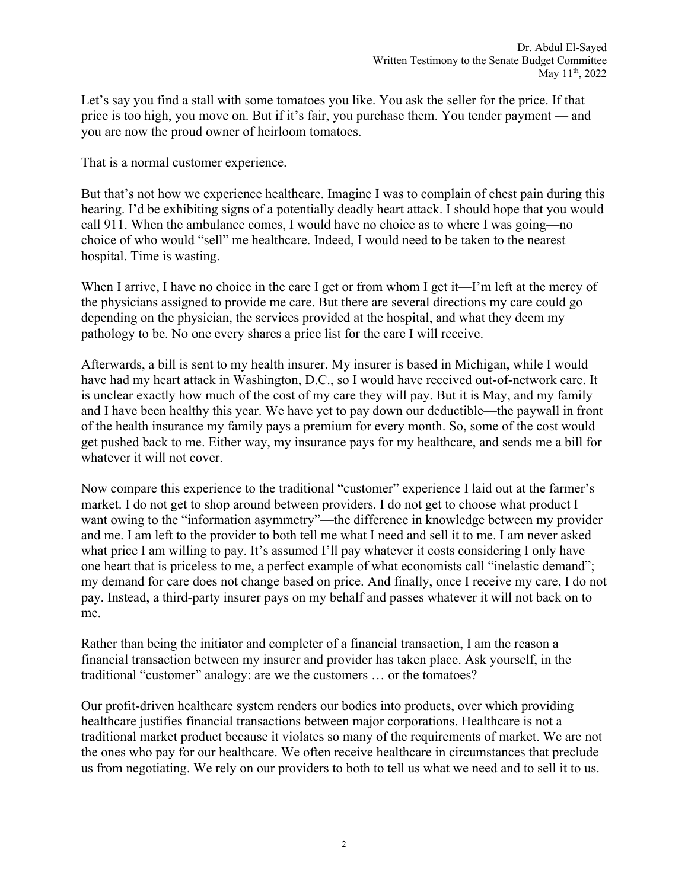Let's say you find a stall with some tomatoes you like. You ask the seller for the price. If that price is too high, you move on. But if it's fair, you purchase them. You tender payment — and you are now the proud owner of heirloom tomatoes.

That is a normal customer experience.

But that's not how we experience healthcare. Imagine I was to complain of chest pain during this hearing. I'd be exhibiting signs of a potentially deadly heart attack. I should hope that you would call 911. When the ambulance comes, I would have no choice as to where I was going—no choice of who would "sell" me healthcare. Indeed, I would need to be taken to the nearest hospital. Time is wasting.

When I arrive, I have no choice in the care I get or from whom I get it—I'm left at the mercy of the physicians assigned to provide me care. But there are several directions my care could go depending on the physician, the services provided at the hospital, and what they deem my pathology to be. No one every shares a price list for the care I will receive.

Afterwards, a bill is sent to my health insurer. My insurer is based in Michigan, while I would have had my heart attack in Washington, D.C., so I would have received out-of-network care. It is unclear exactly how much of the cost of my care they will pay. But it is May, and my family and I have been healthy this year. We have yet to pay down our deductible—the paywall in front of the health insurance my family pays a premium for every month. So, some of the cost would get pushed back to me. Either way, my insurance pays for my healthcare, and sends me a bill for whatever it will not cover.

Now compare this experience to the traditional "customer" experience I laid out at the farmer's market. I do not get to shop around between providers. I do not get to choose what product I want owing to the "information asymmetry"—the difference in knowledge between my provider and me. I am left to the provider to both tell me what I need and sell it to me. I am never asked what price I am willing to pay. It's assumed I'll pay whatever it costs considering I only have one heart that is priceless to me, a perfect example of what economists call "inelastic demand"; my demand for care does not change based on price. And finally, once I receive my care, I do not pay. Instead, a third-party insurer pays on my behalf and passes whatever it will not back on to me.

Rather than being the initiator and completer of a financial transaction, I am the reason a financial transaction between my insurer and provider has taken place. Ask yourself, in the traditional "customer" analogy: are we the customers … or the tomatoes?

Our profit-driven healthcare system renders our bodies into products, over which providing healthcare justifies financial transactions between major corporations. Healthcare is not a traditional market product because it violates so many of the requirements of market. We are not the ones who pay for our healthcare. We often receive healthcare in circumstances that preclude us from negotiating. We rely on our providers to both to tell us what we need and to sell it to us.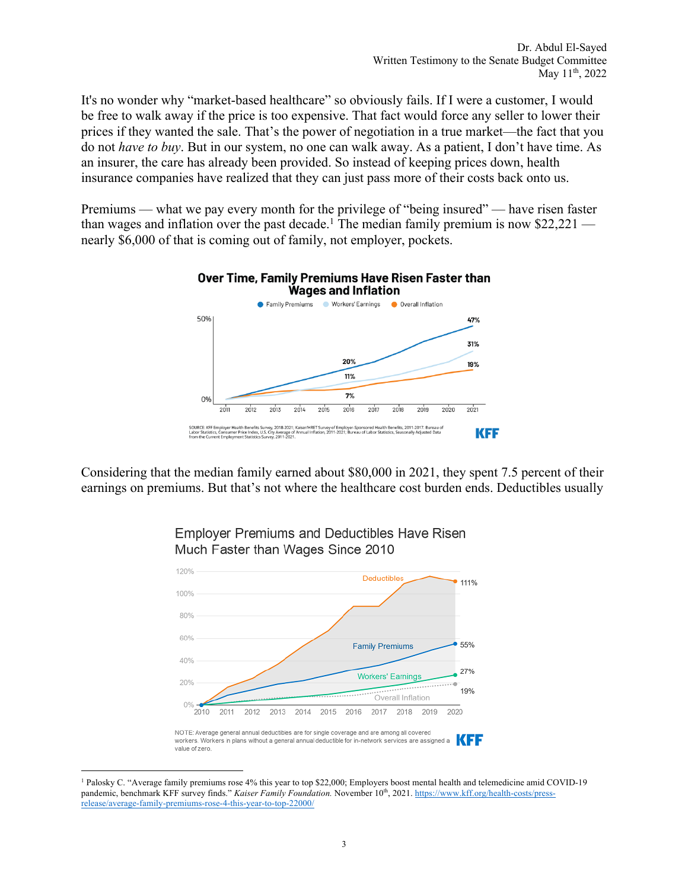It's no wonder why "market-based healthcare" so obviously fails. If I were a customer, I would be free to walk away if the price is too expensive. That fact would force any seller to lower their prices if they wanted the sale. That's the power of negotiation in a true market—the fact that you do not *have to buy*. But in our system, no one can walk away. As a patient, I don't have time. As an insurer, the care has already been provided. So instead of keeping prices down, health insurance companies have realized that they can just pass more of their costs back onto us.

Premiums — what we pay every month for the privilege of "being insured" — have risen faster than wages and inflation over the past decade.<sup>1</sup> The median family premium is now \$22,221 nearly \$6,000 of that is coming out of family, not employer, pockets.



Considering that the median family earned about \$80,000 in 2021, they spent 7.5 percent of their earnings on premiums. But that's not where the healthcare cost burden ends. Deductibles usually





<sup>1</sup> Palosky C. "Average family premiums rose 4% this year to top \$22,000; Employers boost mental health and telemedicine amid COVID-19 pandemic, benchmark KFF survey finds." *Kaiser Family Foundation*. November 10<sup>th</sup>, 2021. https://www.kff.org/health-costs/pressrelease/average-family-premiums-rose-4-this-year-to-top-22000/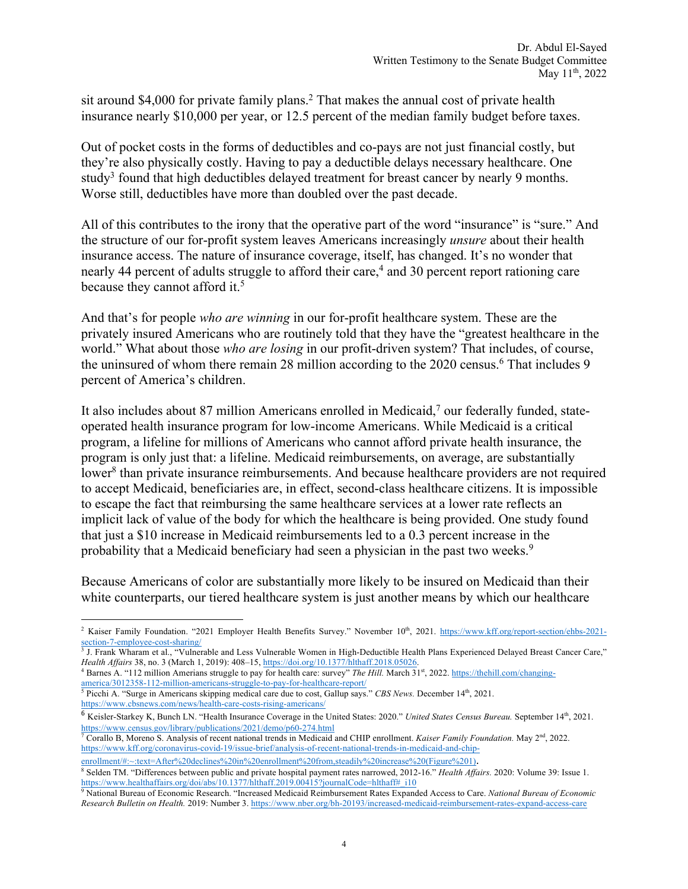sit around \$4,000 for private family plans.<sup>2</sup> That makes the annual cost of private health insurance nearly \$10,000 per year, or 12.5 percent of the median family budget before taxes.

Out of pocket costs in the forms of deductibles and co-pays are not just financial costly, but they're also physically costly. Having to pay a deductible delays necessary healthcare. One study<sup>3</sup> found that high deductibles delayed treatment for breast cancer by nearly 9 months. Worse still, deductibles have more than doubled over the past decade.

All of this contributes to the irony that the operative part of the word "insurance" is "sure." And the structure of our for-profit system leaves Americans increasingly *unsure* about their health insurance access. The nature of insurance coverage, itself, has changed. It's no wonder that nearly 44 percent of adults struggle to afford their care,<sup>4</sup> and 30 percent report rationing care because they cannot afford it.<sup>5</sup>

And that's for people *who are winning* in our for-profit healthcare system. These are the privately insured Americans who are routinely told that they have the "greatest healthcare in the world." What about those *who are losing* in our profit-driven system? That includes, of course, the uninsured of whom there remain 28 million according to the 2020 census.<sup>6</sup> That includes 9 percent of America's children.

It also includes about 87 million Americans enrolled in Medicaid,7 our federally funded, stateoperated health insurance program for low-income Americans. While Medicaid is a critical program, a lifeline for millions of Americans who cannot afford private health insurance, the program is only just that: a lifeline. Medicaid reimbursements, on average, are substantially lower<sup>8</sup> than private insurance reimbursements. And because healthcare providers are not required to accept Medicaid, beneficiaries are, in effect, second-class healthcare citizens. It is impossible to escape the fact that reimbursing the same healthcare services at a lower rate reflects an implicit lack of value of the body for which the healthcare is being provided. One study found that just a \$10 increase in Medicaid reimbursements led to a 0.3 percent increase in the probability that a Medicaid beneficiary had seen a physician in the past two weeks.<sup>9</sup>

Because Americans of color are substantially more likely to be insured on Medicaid than their white counterparts, our tiered healthcare system is just another means by which our healthcare

<sup>3</sup> J. Frank Wharam et al., "Vulnerable and Less Vulnerable Women in High-Deductible Health Plans Experienced Delayed Breast Cancer Care," Health Affairs 38, no. 3 (March 1, 2019): 408–15, https://doi.org/10.1377/hlthaff.2018.05026.<br><sup>4</sup> Barnes A. "112 million Amerians struggle to pay for health care: survey" The Hill. March 31<sup>st</sup>, 2022. https://thehill.com/c

<sup>5</sup> Picchi A. "Surge in Americans skipping medical care due to cost, Gallup says." *CBS News.* December 14th, 2021. https://www.cbsnews.com/news/health-care-costs-rising-americans/

<sup>7</sup> Corallo B, Moreno S. Analysis of recent national trends in Medicaid and CHIP enrollment. *Kaiser Family Foundation*. May 2<sup>nd</sup>, 2022. https://www.kff.org/coronavirus-covid-19/issue-brief/analysis-of-recent-national-trends-in-medicaid-and-chip-

<sup>8</sup> Selden TM. "Differences between public and private hospital payment rates narrowed, 2012-16." *Health Affairs.* 2020: Volume 39: Issue 1. https://www.healthaffairs.org/doi/abs/10.1377/hlthaff.2019.00415?journalCode=hlthaff#\_i10

<sup>&</sup>lt;sup>2</sup> Kaiser Family Foundation. "2021 Employer Health Benefits Survey." November 10<sup>th</sup>, 2021. https://www.kff.org/report-section/ehbs-2021section-7-employee-cost-sharing/

america/3012358-112-million-americans-struggle-to-pay-for-healthcare-report/

<sup>6</sup> Keisler-Starkey K, Bunch LN. "Health Insurance Coverage in the United States: 2020." *United States Census Bureau.* September 14th, 2021. https://www.census.gov/library/publications/2021/demo/p60-274.html

enrollment/#:~:text=After%20declines%20in%20enrollment%20from,steadily%20increase%20(Figure%201).

<sup>9</sup> National Bureau of Economic Research. "Increased Medicaid Reimbursement Rates Expanded Access to Care. *National Bureau of Economic Research Bulletin on Health.* 2019: Number 3. https://www.nber.org/bh-20193/increased-medicaid-reimbursement-rates-expand-access-care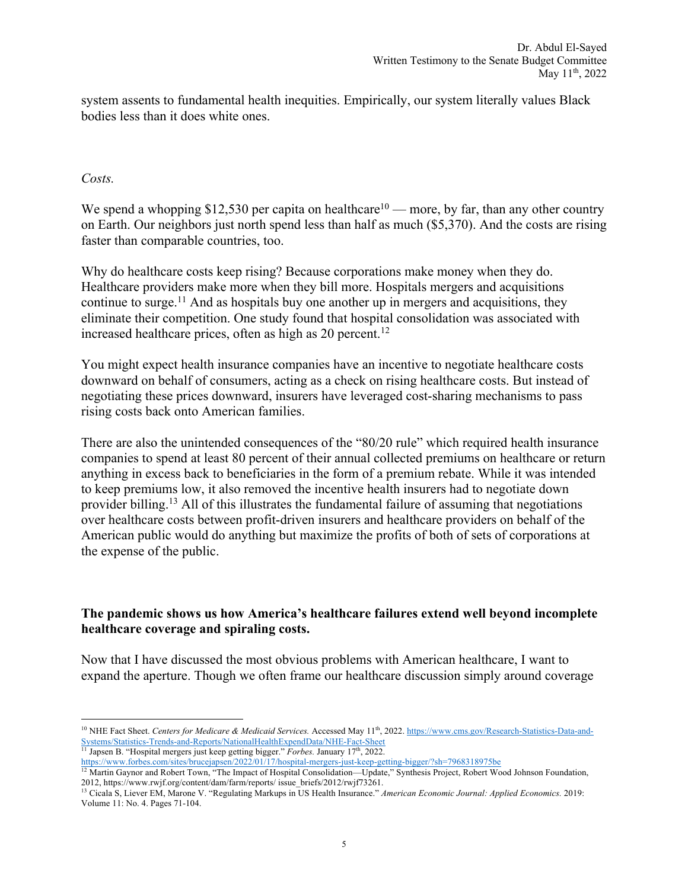system assents to fundamental health inequities. Empirically, our system literally values Black bodies less than it does white ones.

#### *Costs.*

We spend a whopping \$12,530 per capita on healthcare<sup>10</sup> — more, by far, than any other country on Earth. Our neighbors just north spend less than half as much (\$5,370). And the costs are rising faster than comparable countries, too.

Why do healthcare costs keep rising? Because corporations make money when they do. Healthcare providers make more when they bill more. Hospitals mergers and acquisitions continue to surge.<sup>11</sup> And as hospitals buy one another up in mergers and acquisitions, they eliminate their competition. One study found that hospital consolidation was associated with increased healthcare prices, often as high as  $20$  percent.<sup>12</sup>

You might expect health insurance companies have an incentive to negotiate healthcare costs downward on behalf of consumers, acting as a check on rising healthcare costs. But instead of negotiating these prices downward, insurers have leveraged cost-sharing mechanisms to pass rising costs back onto American families.

There are also the unintended consequences of the "80/20 rule" which required health insurance companies to spend at least 80 percent of their annual collected premiums on healthcare or return anything in excess back to beneficiaries in the form of a premium rebate. While it was intended to keep premiums low, it also removed the incentive health insurers had to negotiate down provider billing.13 All of this illustrates the fundamental failure of assuming that negotiations over healthcare costs between profit-driven insurers and healthcare providers on behalf of the American public would do anything but maximize the profits of both of sets of corporations at the expense of the public.

#### **The pandemic shows us how America's healthcare failures extend well beyond incomplete healthcare coverage and spiraling costs.**

Now that I have discussed the most obvious problems with American healthcare, I want to expand the aperture. Though we often frame our healthcare discussion simply around coverage

<sup>11</sup> Japsen B. "Hospital mergers just keep getting bigger." *Forbes*. January 17<sup>th</sup>, 2022.

https://www.forbes.com/sites/brucejapsen/2022/01/17/hospital-mergers-just-keep-getting-bigger/?sh=7968318975be

<sup>&</sup>lt;sup>10</sup> NHE Fact Sheet. *Centers for Medicare & Medicaid Services*. Accessed May 11<sup>th</sup>, 2022. https://www.cms.gov/Research-Statistics-Data-and-Systems/Statistics-Trends-and-Reports/NationalHealthExpendData/NHE-Fact-Sheet

<sup>&</sup>lt;sup>12</sup> Martin Gaynor and Robert Town, "The Impact of Hospital Consolidation—Update," Synthesis Project, Robert Wood Johnson Foundation, 2012, https://www.rwjf.org/content/dam/farm/reports/ issue\_briefs/2012/rwjf73261. 13 Cicala S, Liever EM, Marone V. "Regulating Markups in US Health Insurance." *American Economic Journal: Applied Economics.* 2019:

Volume 11: No. 4. Pages 71-104.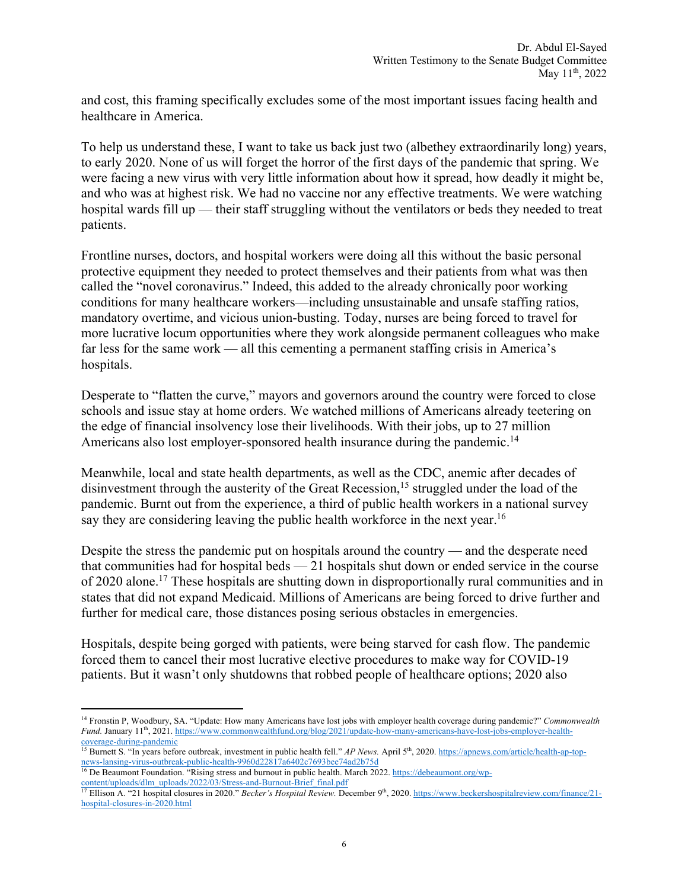and cost, this framing specifically excludes some of the most important issues facing health and healthcare in America.

To help us understand these, I want to take us back just two (albethey extraordinarily long) years, to early 2020. None of us will forget the horror of the first days of the pandemic that spring. We were facing a new virus with very little information about how it spread, how deadly it might be, and who was at highest risk. We had no vaccine nor any effective treatments. We were watching hospital wards fill up — their staff struggling without the ventilators or beds they needed to treat patients.

Frontline nurses, doctors, and hospital workers were doing all this without the basic personal protective equipment they needed to protect themselves and their patients from what was then called the "novel coronavirus." Indeed, this added to the already chronically poor working conditions for many healthcare workers—including unsustainable and unsafe staffing ratios, mandatory overtime, and vicious union-busting. Today, nurses are being forced to travel for more lucrative locum opportunities where they work alongside permanent colleagues who make far less for the same work — all this cementing a permanent staffing crisis in America's hospitals.

Desperate to "flatten the curve," mayors and governors around the country were forced to close schools and issue stay at home orders. We watched millions of Americans already teetering on the edge of financial insolvency lose their livelihoods. With their jobs, up to 27 million Americans also lost employer-sponsored health insurance during the pandemic.<sup>14</sup>

Meanwhile, local and state health departments, as well as the CDC, anemic after decades of disinvestment through the austerity of the Great Recession,<sup>15</sup> struggled under the load of the pandemic. Burnt out from the experience, a third of public health workers in a national survey say they are considering leaving the public health workforce in the next year.<sup>16</sup>

Despite the stress the pandemic put on hospitals around the country — and the desperate need that communities had for hospital beds — 21 hospitals shut down or ended service in the course of 2020 alone.17 These hospitals are shutting down in disproportionally rural communities and in states that did not expand Medicaid. Millions of Americans are being forced to drive further and further for medical care, those distances posing serious obstacles in emergencies.

Hospitals, despite being gorged with patients, were being starved for cash flow. The pandemic forced them to cancel their most lucrative elective procedures to make way for COVID-19 patients. But it wasn't only shutdowns that robbed people of healthcare options; 2020 also

<sup>14</sup> Fronstin P, Woodbury, SA. "Update: How many Americans have lost jobs with employer health coverage during pandemic?" *Commonwealth Fund.* January 11<sup>th</sup>, 2021. https://www.commonwealthfund.org/blog/2021/update-how-many-americans-have-lost-jobs-employer-healthcoverage-during-pandemic

<sup>&</sup>lt;sup>15</sup> Burnett S. "In years before outbreak, investment in public health fell." *AP News*. April 5<sup>th</sup>, 2020. https://apnews.com/article/health-ap-topnews-lansing-virus-outbreak-public-health-9960d22817a6402c7693bee74ad2b75d

<sup>&</sup>lt;sup>16</sup> De Beaumont Foundation. "Rising stress and burnout in public health. March 2022. https://debeaumont.org/wpcontent/uploads/dlm\_uploads/2022/03/Stress-and-Burnout-Brief\_final.pdf

<sup>&</sup>lt;sup>17</sup> Ellison A. "21 hospital closures in 2020." *Becker's Hospital Review*. December 9<sup>th</sup>, 2020. https://www.beckershospitalreview.com/finance/21hospital-closures-in-2020.html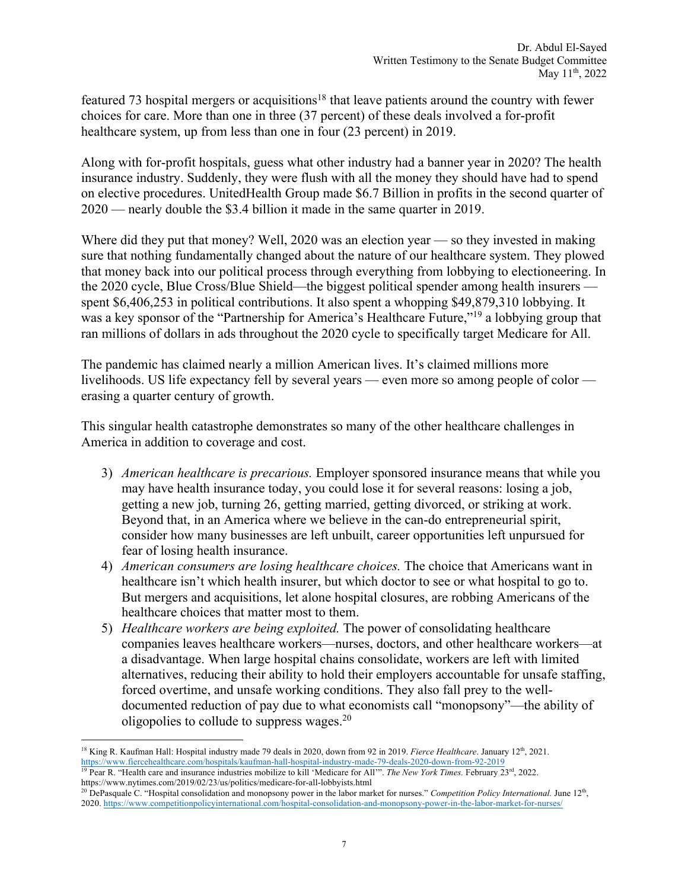featured 73 hospital mergers or acquisitions<sup>18</sup> that leave patients around the country with fewer choices for care. More than one in three (37 percent) of these deals involved a for-profit healthcare system, up from less than one in four (23 percent) in 2019.

Along with for-profit hospitals, guess what other industry had a banner year in 2020? The health insurance industry. Suddenly, they were flush with all the money they should have had to spend on elective procedures. UnitedHealth Group made \$6.7 Billion in profits in the second quarter of 2020 — nearly double the \$3.4 billion it made in the same quarter in 2019.

Where did they put that money? Well, 2020 was an election year — so they invested in making sure that nothing fundamentally changed about the nature of our healthcare system. They plowed that money back into our political process through everything from lobbying to electioneering. In the 2020 cycle, Blue Cross/Blue Shield—the biggest political spender among health insurers spent \$6,406,253 in political contributions. It also spent a whopping \$49,879,310 lobbying. It was a key sponsor of the "Partnership for America's Healthcare Future,"19 a lobbying group that ran millions of dollars in ads throughout the 2020 cycle to specifically target Medicare for All.

The pandemic has claimed nearly a million American lives. It's claimed millions more livelihoods. US life expectancy fell by several years — even more so among people of color erasing a quarter century of growth.

This singular health catastrophe demonstrates so many of the other healthcare challenges in America in addition to coverage and cost.

- 3) *American healthcare is precarious.* Employer sponsored insurance means that while you may have health insurance today, you could lose it for several reasons: losing a job, getting a new job, turning 26, getting married, getting divorced, or striking at work. Beyond that, in an America where we believe in the can-do entrepreneurial spirit, consider how many businesses are left unbuilt, career opportunities left unpursued for fear of losing health insurance.
- 4) *American consumers are losing healthcare choices.* The choice that Americans want in healthcare isn't which health insurer, but which doctor to see or what hospital to go to. But mergers and acquisitions, let alone hospital closures, are robbing Americans of the healthcare choices that matter most to them.
- 5) *Healthcare workers are being exploited.* The power of consolidating healthcare companies leaves healthcare workers—nurses, doctors, and other healthcare workers—at a disadvantage. When large hospital chains consolidate, workers are left with limited alternatives, reducing their ability to hold their employers accountable for unsafe staffing, forced overtime, and unsafe working conditions. They also fall prey to the welldocumented reduction of pay due to what economists call "monopsony"—the ability of oligopolies to collude to suppress wages.20

<sup>&</sup>lt;sup>18</sup> King R. Kaufman Hall: Hospital industry made 79 deals in 2020, down from 92 in 2019. *Fierce Healthcare*. January 12<sup>th</sup>, 2021. https://www.fiercehealthcare.com/hospitals/kaufman-hall-hospital-industry-made-79-deals-2020-down-from-92-2019 <sup>19</sup> Pear R. "Health care and insurance industries mobilize to kill 'Medicare for All'". *The New York Times.* February 23rd, 2022.

https://www.nytimes.com/2019/02/23/us/politics/medicare-for-all-lobbyists.html <sup>20</sup> DePasquale C. "Hospital consolidation and monopsony power in the labor market for nurses." *Competition Policy International*. June 12<sup>th</sup>, 2020. https://www.competitionpolicyinternational.com/hospital-consolidation-and-monopsony-power-in-the-labor-market-for-nurses/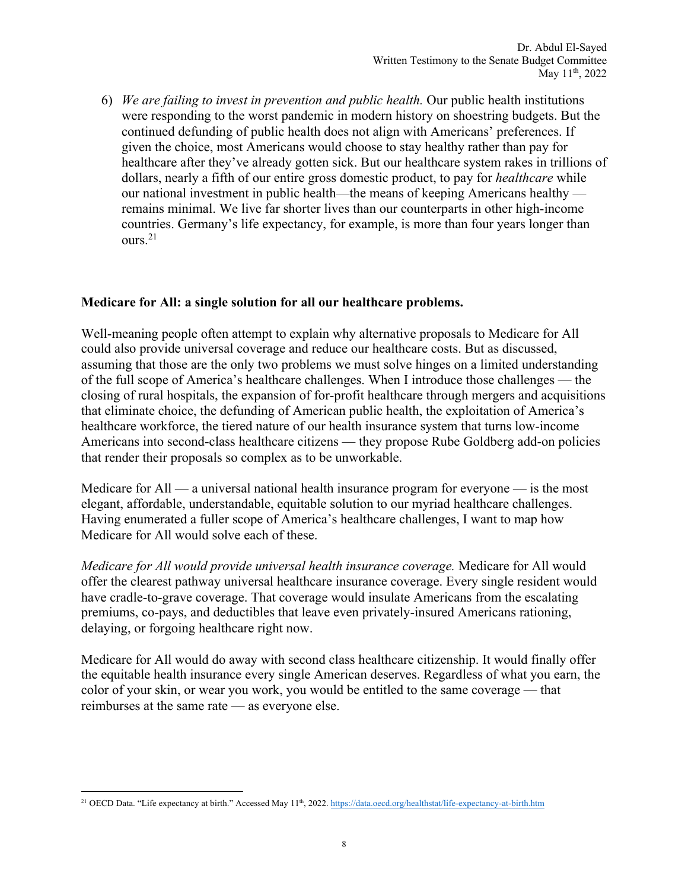6) *We are failing to invest in prevention and public health.* Our public health institutions were responding to the worst pandemic in modern history on shoestring budgets. But the continued defunding of public health does not align with Americans' preferences. If given the choice, most Americans would choose to stay healthy rather than pay for healthcare after they've already gotten sick. But our healthcare system rakes in trillions of dollars, nearly a fifth of our entire gross domestic product, to pay for *healthcare* while our national investment in public health—the means of keeping Americans healthy remains minimal. We live far shorter lives than our counterparts in other high-income countries. Germany's life expectancy, for example, is more than four years longer than ours.21

## **Medicare for All: a single solution for all our healthcare problems.**

Well-meaning people often attempt to explain why alternative proposals to Medicare for All could also provide universal coverage and reduce our healthcare costs. But as discussed, assuming that those are the only two problems we must solve hinges on a limited understanding of the full scope of America's healthcare challenges. When I introduce those challenges — the closing of rural hospitals, the expansion of for-profit healthcare through mergers and acquisitions that eliminate choice, the defunding of American public health, the exploitation of America's healthcare workforce, the tiered nature of our health insurance system that turns low-income Americans into second-class healthcare citizens — they propose Rube Goldberg add-on policies that render their proposals so complex as to be unworkable.

Medicare for  $All - a$  universal national health insurance program for everyone  $-$  is the most elegant, affordable, understandable, equitable solution to our myriad healthcare challenges. Having enumerated a fuller scope of America's healthcare challenges, I want to map how Medicare for All would solve each of these.

*Medicare for All would provide universal health insurance coverage.* Medicare for All would offer the clearest pathway universal healthcare insurance coverage. Every single resident would have cradle-to-grave coverage. That coverage would insulate Americans from the escalating premiums, co-pays, and deductibles that leave even privately-insured Americans rationing, delaying, or forgoing healthcare right now.

Medicare for All would do away with second class healthcare citizenship. It would finally offer the equitable health insurance every single American deserves. Regardless of what you earn, the color of your skin, or wear you work, you would be entitled to the same coverage — that reimburses at the same rate — as everyone else.

<sup>&</sup>lt;sup>21</sup> OECD Data. "Life expectancy at birth." Accessed May 11<sup>th</sup>, 2022. https://data.oecd.org/healthstat/life-expectancy-at-birth.htm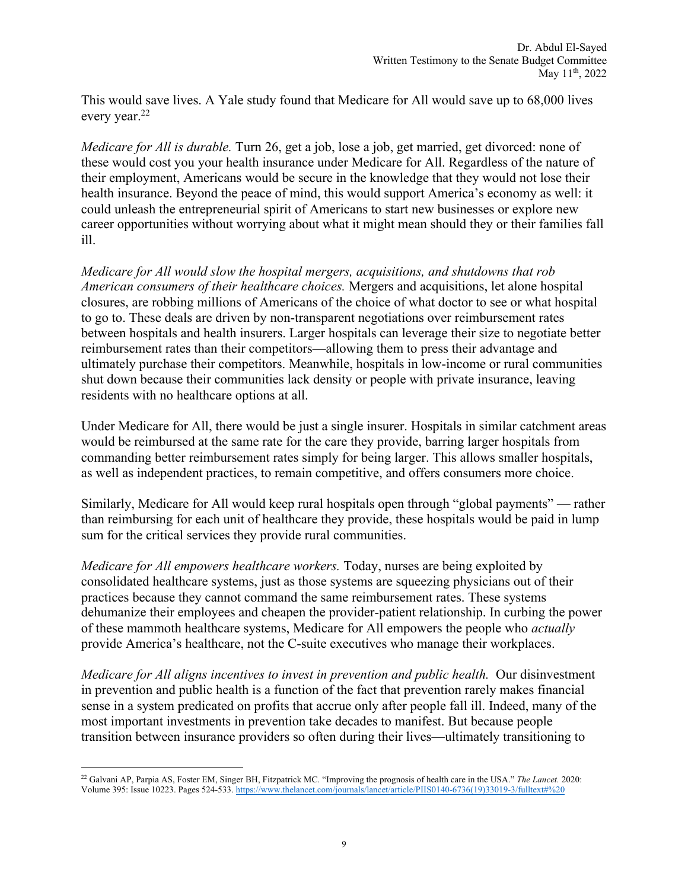This would save lives. A Yale study found that Medicare for All would save up to 68,000 lives every year.<sup>22</sup>

*Medicare for All is durable.* Turn 26, get a job, lose a job, get married, get divorced: none of these would cost you your health insurance under Medicare for All. Regardless of the nature of their employment, Americans would be secure in the knowledge that they would not lose their health insurance. Beyond the peace of mind, this would support America's economy as well: it could unleash the entrepreneurial spirit of Americans to start new businesses or explore new career opportunities without worrying about what it might mean should they or their families fall ill.

*Medicare for All would slow the hospital mergers, acquisitions, and shutdowns that rob American consumers of their healthcare choices.* Mergers and acquisitions, let alone hospital closures, are robbing millions of Americans of the choice of what doctor to see or what hospital to go to. These deals are driven by non-transparent negotiations over reimbursement rates between hospitals and health insurers. Larger hospitals can leverage their size to negotiate better reimbursement rates than their competitors—allowing them to press their advantage and ultimately purchase their competitors. Meanwhile, hospitals in low-income or rural communities shut down because their communities lack density or people with private insurance, leaving residents with no healthcare options at all.

Under Medicare for All, there would be just a single insurer. Hospitals in similar catchment areas would be reimbursed at the same rate for the care they provide, barring larger hospitals from commanding better reimbursement rates simply for being larger. This allows smaller hospitals, as well as independent practices, to remain competitive, and offers consumers more choice.

Similarly, Medicare for All would keep rural hospitals open through "global payments" — rather than reimbursing for each unit of healthcare they provide, these hospitals would be paid in lump sum for the critical services they provide rural communities.

*Medicare for All empowers healthcare workers.* Today, nurses are being exploited by consolidated healthcare systems, just as those systems are squeezing physicians out of their practices because they cannot command the same reimbursement rates. These systems dehumanize their employees and cheapen the provider-patient relationship. In curbing the power of these mammoth healthcare systems, Medicare for All empowers the people who *actually*  provide America's healthcare, not the C-suite executives who manage their workplaces.

*Medicare for All aligns incentives to invest in prevention and public health.* Our disinvestment in prevention and public health is a function of the fact that prevention rarely makes financial sense in a system predicated on profits that accrue only after people fall ill. Indeed, many of the most important investments in prevention take decades to manifest. But because people transition between insurance providers so often during their lives—ultimately transitioning to

<sup>22</sup> Galvani AP, Parpia AS, Foster EM, Singer BH, Fitzpatrick MC. "Improving the prognosis of health care in the USA." *The Lancet.* 2020: Volume 395: Issue 10223. Pages 524-533. https://www.thelancet.com/journals/lancet/article/PIIS0140-6736(19)33019-3/fulltext#%20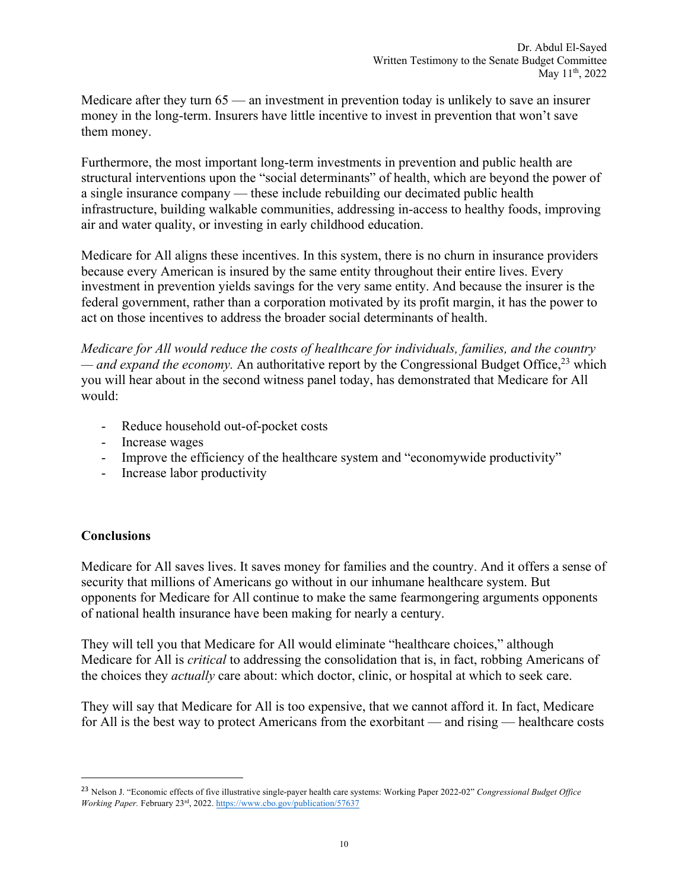Medicare after they turn 65 — an investment in prevention today is unlikely to save an insurer money in the long-term. Insurers have little incentive to invest in prevention that won't save them money.

Furthermore, the most important long-term investments in prevention and public health are structural interventions upon the "social determinants" of health, which are beyond the power of a single insurance company — these include rebuilding our decimated public health infrastructure, building walkable communities, addressing in-access to healthy foods, improving air and water quality, or investing in early childhood education.

Medicare for All aligns these incentives. In this system, there is no churn in insurance providers because every American is insured by the same entity throughout their entire lives. Every investment in prevention yields savings for the very same entity. And because the insurer is the federal government, rather than a corporation motivated by its profit margin, it has the power to act on those incentives to address the broader social determinants of health.

*Medicare for All would reduce the costs of healthcare for individuals, families, and the country* — *and expand the economy*. An authoritative report by the Congressional Budget Office,<sup>23</sup> which you will hear about in the second witness panel today, has demonstrated that Medicare for All would:

- Reduce household out-of-pocket costs
- Increase wages
- Improve the efficiency of the healthcare system and "economywide productivity"
- Increase labor productivity

## **Conclusions**

Medicare for All saves lives. It saves money for families and the country. And it offers a sense of security that millions of Americans go without in our inhumane healthcare system. But opponents for Medicare for All continue to make the same fearmongering arguments opponents of national health insurance have been making for nearly a century.

They will tell you that Medicare for All would eliminate "healthcare choices," although Medicare for All is *critical* to addressing the consolidation that is, in fact, robbing Americans of the choices they *actually* care about: which doctor, clinic, or hospital at which to seek care.

They will say that Medicare for All is too expensive, that we cannot afford it. In fact, Medicare for All is the best way to protect Americans from the exorbitant — and rising — healthcare costs

<sup>23</sup> Nelson J. "Economic effects of five illustrative single-payer health care systems: Working Paper 2022-02" *Congressional Budget Office Working Paper.* February 23rd, 2022. https://www.cbo.gov/publication/57637